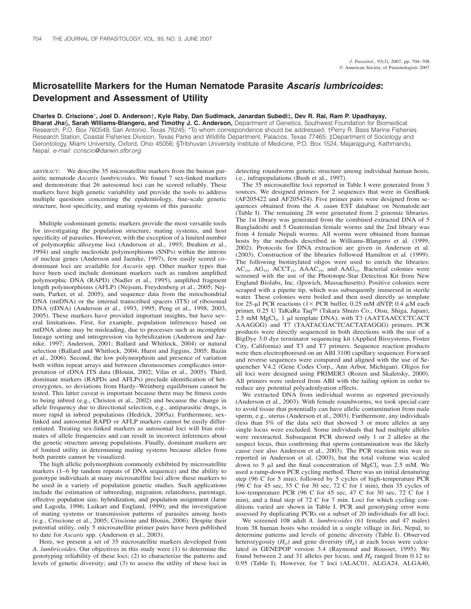## **Microsatellite Markers for the Human Nematode Parasite** *Ascaris lumbricoides***: Development and Assessment of Utility**

**Charles D. Criscione**\***, Joel D. Anderson**†**, Kyle Raby, Dan Sudimack, Janardan Subedi**‡**, Dev R. Rai, Ram P. Upadhayay, Bharat Jha**§**, Sarah Williams-Blangero, and Timothy J. C. Anderson,** Department of Genetics, Southwest Foundation for Biomedical Research, P.O. Box 760549, San Antonio, Texas 78245; \*To whom correspondence should be addressed; †Perry R. Bass Marine Fisheries Research Station, Coastal Fisheries Division, Texas Parks and Wildlife Department, Palacios, Texas 77465; ‡Department of Sociology and Gerontology, Miami University, Oxford, Ohio 45056; §Tribhuvan University Institute of Medicine, P.O. Box 1524, Majarajgung, Kathmandu, Nepal. *e-mail: ccriscio@darwin.sfbr.org*

ABSTRACT: We describe 35 microsatellite markers from the human parasitic nematode *Ascaris lumbricoides*. We found 7 sex-linked markers and demonstrate that 26 autosomal loci can be scored reliably. These markers have high genetic variability and provide the tools to address multiple questions concerning the epidemiology, fine-scale genetic structure, host specificity, and mating systems of this parasite.

Multiple codominant genetic markers provide the most versatile tools for investigating the population structure, mating systems, and host specificity of parasites. However, with the exception of a limited number of polymorphic allozyme loci (Anderson et al., 1993; Ibrahim et al., 1994) and single nucleotide polymorphisms (SNPs) within the introns of nuclear genes (Anderson and Jaenike, 1997), few easily scored codominant loci are available for *Ascaris* spp. Other marker types that have been used include dominant markers such as random amplified polymorphic DNA (RAPD) (Nadler et al., 1995), amplified fragment length polymorphisms (AFLP) (Nejsum, Freydenberg et al., 2005; Nejsum, Parker, et al. 2005), and sequence data from the mitochondrial DNA (mtDNA) or the internal transcribed spacers (ITS) of ribosomal DNA (rDNA) (Anderson et al., 1993, 1995; Peng et al., 1998, 2003, 2005). These markers have provided important insights, but have several limitations. First, for example, population inferences based on mtDNA alone may be misleading, due to processes such as incomplete lineage sorting and introgression via hybridization (Anderson and Jaenike, 1997; Anderson, 2001; Ballard and Whitlock, 2004) or natural selection (Ballard and Whitlock, 2004; Hurst and Jiggins, 2005; Bazin et al., 2006). Second, the low polymorphism and presence of variation both within repeat arrays and between chromosomes complicates interpretation of rDNA ITS data (Blouin, 2002; Vilas et al., 2005). Third, dominant markers (RAPDs and AFLPs) preclude identification of heterozygotes, so deviations from Hardy–Weinberg equilibrium cannot be tested. This latter caveat is important because there may be fitness costs to being inbred (e.g., Christen et al., 2002) and because the change in allele frequency due to directional selection, e.g., antiparasitic drugs, is more rapid in inbred populations (Hedrick, 2005a). Furthermore, sexlinked and autosomal RAPD or AFLP markers cannot be easily differentiated. Treating sex-linked markers as autosomal loci will bias estimates of allele frequencies and can result in incorrect inferences about the genetic structure among populations. Finally, dominant markers are of limited utility in determining mating systems because alleles from both parents cannot be visualized.

The high allelic polymorphism commonly exhibited by microsatellite markers (1–6 bp tandem repeats of DNA sequence) and the ability to genotype individuals at many microsatellite loci allow these markers to be used in a variety of population genetic studies. Such applications include the estimation of inbreeding, migration, relatedness, parentage, effective population size, hybridization, and population assignment (Jarne and Lagoda, 1996; Luikart and England, 1999); and the investigation of mating systems or transmission patterns of parasites among hosts (e.g., Criscione et al., 2005; Criscione and Blouin, 2006). Despite their potential utility, only 5 microsatellite primer pairs have been published to date for *Ascaris* spp. (Anderson et al., 2003).

Here, we present a set of 35 microsatellite markers developed from *A. lumbricoides*. Our objectives in this study were (1) to determine the genotyping reliability of these loci; (2) to characterize the patterns and levels of genetic diversity; and (3) to assess the utility of these loci in detecting roundworm genetic structure among individual human hosts, i.e., infrapopulations (Bush et al., 1997).

The 35 microsatellite loci reported in Table I were generated from 3 sources. We designed primers for 2 sequences that were in GenBank (AF205422 and AF205424). Five primer pairs were designed from sequences obtained from the *A. suum* EST database on Nematode.net (Table I). The remaining 28 were generated from 2 genomic libraries. The 1st library was generated from the combined extracted DNA of 5 Bangladeshi and 5 Guatemalan female worms and the 2nd library was from 4 female Nepali worms. All worms were obtained from human hosts by the methods described in Williams-Blangero et al. (1999, 2002). Protocols for DNA extraction are given in Anderson et al. (2003). Construction of the libraries followed Hamilton et al. (1999). The following biotinylated oligos were used to enrich the libraries:  $AC_{15}$ ,  $AG_{15}$ ,  $ACCT_{15}$ ,  $AAAC_{15}$ , and  $AAG_{15}$ . Bacterial colonies were screened with the use of the Phototope-Star Detection Kit from New England Biolabs, Inc. (Ipswich, Massachusetts). Positive colonies were scraped with a pipette tip, which was subsequently immersed in sterile water. These colonies were boiled and then used directly as template for 25-µl PCR reactions ( $1 \times$  PCR buffer, 0.25 mM dNTP, 0.4 µM each primer, 0.25 U TaKaRa Taq<sup>®</sup> (Takara Shuzo Co., Otsu, Shiga, Japan), 2.5 mM  $MgCl<sub>2</sub>$ , 1 µl template DNA), with T3 (AATTAACCCTCACT AAAGGG) and T7 (TAATACGACTCACTATAGGG) primers. PCR products were directly sequenced in both directions with the use of a BigDye 3.0 dye terminator sequencing kit (Applied Biosystems, Foster City, California) and T3 and T7 primers. Sequence reaction products were then electrophoresed on an ABI 3100 capillary sequencer. Forward and reverse sequences were compared and aligned with the use of Sequencher V4.2 (Gene Codes Corp., Ann Arbor, Michigan). Oligos for all loci were designed using PRIMER3 (Rozen and Skaletsky, 2000). All primers were ordered from ABI with the tailing option in order to reduce any potential polyadenlyation effects.

We extracted DNA from individual worms as reported previously (Anderson et al., 2003). With female roundworms, we took special care to avoid tissue that potentially can have allelic contamination from male sperm, e.g., uterus (Anderson et al., 2003). Furthermore, any individuals (less than 5% of the data set) that showed 3 or more alleles at any single locus were excluded. Some individuals that had multiple alleles were reextracted. Subsequent PCR showed only 1 or 2 alleles at the suspect locus, thus confirming that sperm contamination was the likely cause (see also Anderson et al., 2003). The PCR reaction mix was as reported in Anderson et al. (2003), but the total volume was scaled down to 5  $\mu$ l and the final concentration of MgCl<sub>2</sub> was 2.5 mM. We used a ramp-down PCR cycling method. There was an initial denaturing step (96 C for 5 min), followed by 5 cycles of high-temperature PCR  $(96 \text{ C}$  for 45 sec, 55 C for 30 sec, 72 C for 1 min), then 35 cycles of low-temperature PCR (96 C for 45 sec, 47 C for 30 sec, 72 C for 1 min), and a final step of 72 C for 7 min. Loci for which cycling conditions varied are shown in Table I. PCR and genotyping error were assessed by duplicating PCRs on a subset of 20 individuals for all loci.

We screened 108 adult *A. lumbricoides* (61 females and 47 males) from 38 human hosts who resided in a single village in Jiri, Nepal, to determine patterns and levels of genetic diversity (Table I). Observed heterozygosity  $(H<sub>o</sub>)$  and gene diversity  $(H<sub>E</sub>)$  at each locus were calculated in GENEPOP version 3.4 (Raymond and Rousset, 1995). We found between 2 and 31 alleles per locus, and  $H_F$  ranged from 0.12 to 0.95 (Table I). However, for 7 loci (ALAC01, ALGA24, ALGA40,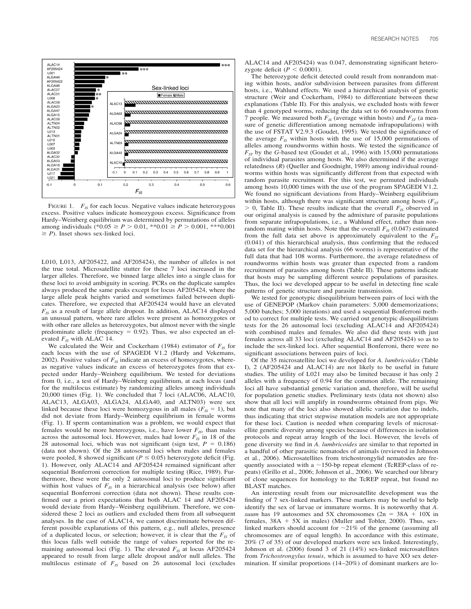

FIGURE 1. *F<sub>IS</sub>* for each locus. Negative values indicate heterozygous excess. Positive values indicate homozygous excess. Significance from Hardy–Weinberg equilibrium was determined by permutations of alleles among individuals  $(*0.05 \ge P > 0.01, **0.01 \ge P > 0.001, **0.001$  $\geq$  *P*). Inset shows sex-linked loci.

L010, L013, AF205422, and AF205424), the number of alleles is not the true total. Microsatellite stutter for these 7 loci increased in the larger alleles. Therefore, we binned large alleles into a single class for these loci to avoid ambiguity in scoring. PCRs on the duplicate samples always produced the same peaks except for locus AF205424, where the large allele peak heights varied and sometimes failed between duplicates. Therefore, we expected that AF205424 would have an elevated  $F_{IS}$  as a result of large allele dropout. In addition, ALAC14 displayed an unusual pattern, where rare alleles were present as homozygotes or with other rare alleles as heterozygotes, but almost never with the single predominate allele (frequency  $= 0.92$ ). Thus, we also expected an elevated  $F_{IS}$  with ALAC 14.

We calculated the Weir and Cockerham (1984) estimator of  $F_{IS}$  for each locus with the use of SPAGEDI V1.2 (Hardy and Vekemans, 2002). Positive values of  $F_{IS}$  indicate an excess of homozygotes, whereas negative values indicate an excess of heterozygotes from that expected under Hardy–Weinberg equilibrium. We tested for deviations from 0, i.e., a test of Hardy–Weinberg equilibrium, at each locus (and for the multilocus estimate) by randomizing alleles among individuals 20,000 times (Fig. 1). We concluded that 7 loci (ALAC06, ALAC10, ALAC13, ALGA03, ALGA24, ALGA40, and ALTN03) were sex linked because these loci were homozygous in all males ( $F_{IS} = 1$ ), but did not deviate from Hardy–Weinberg equilibrium in female worms (Fig. 1). If sperm contamination was a problem, we would expect that females would be more heterozygous, i.e., have lower  $F_{IS}$ , than males across the autosomal loci. However, males had lower  $F_{IS}$  in 18 of the 28 autosomal loci, which was not significant (sign test,  $P = 0.186$ ) (data not shown). Of the 28 autosomal loci when males and females were pooled, 8 showed significant ( $P \le 0.05$ ) heterozygote deficit (Fig. 1). However, only ALAC14 and AF205424 remained significant after sequential Bonferroni correction for multiple testing (Rice, 1989). Furthermore, these were the only 2 autosomal loci to produce significant within host values of  $F_{IS}$  in a hierarchical analysis (see below) after sequential Bonferroni correction (data not shown). These results confirmed our a priori expectations that both ALAC 14 and AF205424 would deviate from Hardy–Weinberg equilibrium. Therefore, we considered these 2 loci as outliers and excluded them from all subsequent analyses. In the case of ALAC14, we cannot discriminate between different possible explanations of this pattern, e.g., null alleles, presence of a duplicated locus, or selection; however, it is clear that the  $F_{IS}$  of this locus falls well outside the range of values reported for the remaining autosomal loci (Fig. 1). The elevated  $F_{IS}$  at locus AF205424 appeared to result from large allele dropout and/or null alleles. The multilocus estimate of  $F_{IS}$  based on 26 autosomal loci (excludes

ALAC14 and AF205424) was 0.047, demonstrating significant heterozygote deficit ( $P < 0.0001$ ).

The heterozygote deficit detected could result from nonrandom mating within hosts, and/or subdivision between parasites from different hosts, i.e., Wahlund effects. We used a hierarchical analysis of genetic structure (Weir and Cockerham, 1984) to differentiate between these explanations (Table II). For this analysis, we excluded hosts with fewer than 4 genotyped worms, reducing the data set to 66 roundworms from 7 people. We measured both  $F_{IS}$  (average within hosts) and  $F_{ST}$  (a measure of genetic differentiation among nematode infrapopulations) with the use of FSTAT V2.9.3 (Goudet, 1995). We tested the significance of the average  $F_{IS}$  within hosts with the use of 15,000 permutations of alleles among roundworms within hosts. We tested the significance of  $F_{ST}$  by the *G*-based test (Goudet et al., 1996) with 15,000 permutations of individual parasites among hosts. We also determined if the average relatedness (*R*) (Queller and Goodnight, 1989) among individual roundworms within hosts was significantly different from that expected with random parasite recruitment. For this test, we permuted individuals among hosts 10,000 times with the use of the program SPAGEDI V1.2. We found no significant deviations from Hardy–Weinberg equilibrium within hosts, although there was significant structure among hosts  $(F_{ST})$  $> 0$ , Table II). These results indicate that the overall  $F_{IS}$  observed in our original analysis is caused by the admixture of parasite populations from separate infrapopulations, i.e., a Wahlund effect, rather than nonrandom mating within hosts. Note that the overall  $F_{IS}$  (0.047) estimated from the full data set above is approximately equivalent to the  $F_{IT}$ (0.041) of this hierarchical analysis, thus confirming that the reduced data set for the hierarchical analysis (66 worms) is representative of the full data that had 108 worms. Furthermore, the average relatedness of roundworms within hosts was greater than expected from a random recruitment of parasites among hosts (Table II). These patterns indicate that hosts may be sampling different source populations of parasites. Thus, the loci we developed appear to be useful in detecting fine scale patterns of genetic structure and parasite transmission.

We tested for genotypic disequilibrium between pairs of loci with the use of GENEPOP (Markov chain parameters: 5,000 dememorizations; 5,000 batches; 5,000 iterations) and used a sequential Bonferroni method to correct for multiple tests. We carried out genotypic disequilibrium tests for the 26 autosomal loci (excluding ALAC14 and AF205424) with combined males and females. We also did these tests with just females across all 33 loci (excluding ALAC14 and AF205424) so as to include the sex-linked loci. After sequential Bonferroni, there were no significant associations between pairs of loci.

Of the 35 microsatellite loci we developed for *A. lumbricoides* (Table I), 2 (AF205424 and ALAC14) are not likely to be useful in future studies. The utility of L021 may also be limited because it has only 2 alleles with a frequency of 0.94 for the common allele. The remaining loci all have substantial genetic variation and, therefore, will be useful for population genetic studies. Preliminary tests (data not shown) also show that all loci will amplify in roundworms obtained from pigs. We note that many of the loci also showed allelic variation due to indels, thus indicating that strict stepwise mutation models are not appropriate for these loci. Caution is needed when comparing levels of microsatellite genetic diversity among species because of differences in isolation protocols and repeat array length of the loci. However, the levels of gene diversity we find in *A. lumbricoides* are similar to that reported in a handful of other parasitic nematodes of animals (reviewed in Johnson et al., 2006). Microsatellites from trichostrongylid nematodes are frequently associated with a  $\sim$ 150-bp repeat element (TcREP-class of repeats) (Grillo et al., 2006; Johnson et al., 2006). We searched our library of clone sequences for homology to the TcREP repeat, but found no BLAST matches.

An interesting result from our microsatellite development was the finding of 7 sex-linked markers. These markers may be useful to help identify the sex of larvae or immature worms. It is noteworthy that *A. suum* has 19 autosomes and  $5X$  chromosomes  $(2n = 38A + 10X)$  in females,  $38A + 5X$  in males) (Muller and Tobler, 2000). Thus, sexlinked markers should account for  $\sim$ 21% of the genome (assuming all chromosomes are of equal length). In accordance with this estimate, 20% (7 of 35) of our developed markers were sex linked. Interestingly, Johnson et al. (2006) found 3 of 21 (14%) sex-linked microsatellites from *Trichostrongylus tenuis*, which is assumed to have XO sex determination. If similar proportions (14–20%) of dominant markers are lo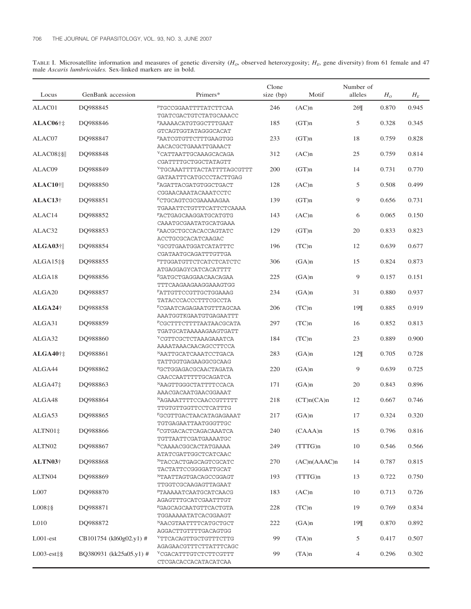TABLE I. Microsatellite information and measures of genetic diversity ( $H_o$ , observed heterozygosity;  $H_E$ , gene diversity) from 61 female and 47 male *Ascaris lumbricoides.* Sex-linked markers are in bold.

| Locus               | GenBank accession       | Primers*                                                              | Clone<br>size (bp) | Motif        | Number of<br>alleles | H <sub>o</sub> | $H_E$ |
|---------------------|-------------------------|-----------------------------------------------------------------------|--------------------|--------------|----------------------|----------------|-------|
| ALAC01              | DQ988845                | FTGCCGGAATTTTATCTTCAA                                                 | 246                | (AC)n        | 26¶                  | 0.870          | 0.945 |
| $ALAC06$ †‡         | DQ988846                | TGATCGACTGTCTATGCAAACC<br>PAAAAACATGTGGCTTTGAAT                       | 185                | (GT)n        | 5                    | 0.328          | 0.345 |
| ALAC07              | DQ988847                | GTCAGTGGTATAGGGCACAT<br>PAATCGTGTTCTTTGAAGTGG<br>AACACGCTGAAATTGAAACT | 233                | (GT)n        | 18                   | 0.759          | 0.828 |
| ALAC08‡§            | DQ988848                | VCATTAATTGCAAAGCACAGA<br>CGATTTTGCTGGCTATAGTT                         | 312                | (AC)n        | 25                   | 0.759          | 0.814 |
| ALAC09              | DQ988849                | <sup>V</sup> TGCAAATTTTACTATTTTAGCGTTT<br>GATAATTTCATGCCCTACTTGAG     | 200                | (GT)n        | 14                   | 0.731          | 0.770 |
| $ALAC10$ †          | DQ988850                | FAGATTACGATGTGGCTGACT<br>CGGAACAAATACAAATCCTC                         | 128                | (AC)n        | 5                    | 0.508          | 0.499 |
| $ALAC13\dagger$     | DQ988851                | FCTGCAGTCGCGAAAAAGAA<br>TGAAATTCTGTTTCATTCTCAAAA                      | 139                | (GT)n        | 9                    | 0.656          | 0.731 |
| ALAC14              | DQ988852                | PACTGAGCAAGGATGCATGTG<br>CAAATGCGAATATGCATGAAA                        | 143                | (AC)n        | 6                    | 0.065          | 0.150 |
| ALAC32              | DQ988853                | FAACGCTGCCACACCAGTATC<br>ACCTGCGCACATCAAGAC                           | 129                | (GT)n        | 20                   | 0.833          | 0.823 |
| $ALGA03$ †          | DQ988854                | VGCGTGAATGGATCATATTTC<br>CGATAATGCAGATTTGTTGA                         | 196                | (TC)n        | 12                   | 0.639          | 0.677 |
| $ALGA15\frac{1}{2}$ | DQ988855                | FTTGGATGTTCTCATCTCATCTC<br>ATGAGGAGYCATCACATTTT                       | 306                | (GA)n        | 15                   | 0.824          | 0.873 |
| ALGA18              | DQ988856                | <b>PGATGCTGAGGAACAACAGAA</b><br>TTTCAAGAAGAAGGAAAGTGG                 | 225                | (GA)n        | 9                    | 0.157          | 0.151 |
| ALGA <sub>20</sub>  | DQ988857                | FATTGTTCCGTTGCTGGAAAG<br>TATACCCACCCTTTCGCCTA                         | 234                | (GA)n        | 31                   | 0.880          | 0.937 |
| $ALGA24\dagger$     | DQ988858                | FCGAATCAGAGAATGTTTAGCAA<br>AAATGGTKGAATGTGAGAATTT                     | 206                | (TC)n        | 19¶                  | 0.885          | 0.919 |
| ALGA31              | DQ988859                | PCGCTTTCTTTTAATAACGCATA<br>TGATGCATAAAAAGAAGTGATT                     | 297                | (TC)n        | 16                   | 0.852          | 0.813 |
| ALGA32              | DQ988860                | <sup>V</sup> CGTTCGCTCTAAAGAAATCA<br>AAAATAAACAACAGCCTTCCA            | 184                | (TC)n        | 23                   | 0.889          | 0.900 |
| ALGA40†‡            | DQ988861                | NAATTGCATCAAATCCTGACA<br>TATTGGTGAGAAGGCGCAAG                         | 283                | (GA)n        | 12%                  | 0.705          | 0.728 |
| ALGA44              | DQ988862                | PGCTGGAGACGCAACTAGATA<br>CAACCAATTTTTGCAGATCA                         | 220                | (GA)n        | 9                    | 0.639          | 0.725 |
| ALGA47‡             | DO988863                | NAAGTTGGGCTATTTTCCACA<br>AAACGACAATGAACGGAAAT                         | 171                | (GA)n        | 20                   | 0.843          | 0.896 |
| ALGA48              | DQ988864                | NAGAAATTTTCCAACCGTTTTT<br>TTGTGTTGGTTCCTCATTTG                        | 218                | (CT)n(CA)n   | 12                   | 0.667          | 0.746 |
| ALGA53              | DQ988865                | FGCGTTGACTAACATAGAGAAAT<br>TGTGAGAATTAATGGGTTGC                       | 217                | (GA)n        | 17                   | 0.324          | 0.320 |
| $ALTN01\ddagger$    | DQ988866                | PCGTGACACTCAGACAAATCA<br>TGTTAATTCGATGAAAATGC                         | 240                | $(CAAA)$ n   | 15                   | 0.796          | 0.816 |
| ALTN02              | DQ988867                | NCAAAACGGCACTATGAAAA<br>ATATCGATTGGCTCATCAAC                          | 249                | (TTTG)n      | 10                   | 0.546          | 0.566 |
| ALTN03†             | DQ988868                | NTACCACTGAGCAGTCGCATC<br>TACTATTCCGGGGATTGCAT                         | 270                | (AC)n(AAAC)n | 14                   | 0.787          | 0.815 |
| ALTN04              | DQ988869                | NTAATTAGTGACAGCCGGAGT<br>TTGGTCGCAAGAGTTAGAAT                         | 193                | (TTTG)n      | 13                   | 0.722          | 0.750 |
| L007                | DQ988870                | PTAAAAATCAATGCATCAACG<br>AGAGTTTGCATCGAATTTGT                         | 183                | (AC)n        | 10                   | 0.713          | 0.726 |
| $L008 \ddagger \$   | DQ988871                | PGAGCAGCAATGTTCACTGTA<br>TGGAAAAATATCACGGAAGT                         | 228                | (TC)n        | 19                   | 0.769          | 0.834 |
| L <sub>010</sub>    | DQ988872                | NAACGTAATTTTCATGCTGCT<br>AGGACTTGTTTTGACAGTGG                         | 222                | (GA)n        | 19¶                  | 0.870          | 0.892 |
| $LOO1-est$          | CB101754 (kl60g02.y1) # | <sup>V</sup> TTCACAGTTGCTGTTTCTTG<br>AGAGAACGTTTCTTATTTCAGC           | 99                 | (TA)n        | 5                    | 0.417          | 0.507 |
| $L003-est\ddagger\$ | BQ380931 (kk25a05.y1) # | <sup>V</sup> CGACATTTGTCTCTTCGTTT<br>CTCGACACCACATACATCAA             | 99                 | (TA)n        | 4                    | 0.296          | 0.302 |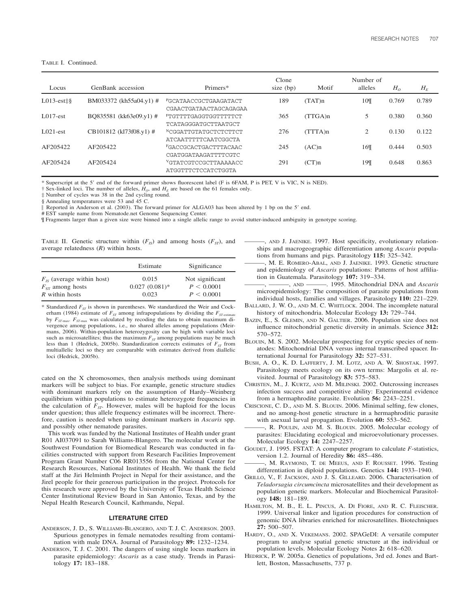TABLE I. Continued.

| Locus        | GenBank accession         | Primers*                                                 | Clone<br>size (bp) | Motif   | Number of<br>alleles | $H_0$ | $H_E$ |
|--------------|---------------------------|----------------------------------------------------------|--------------------|---------|----------------------|-------|-------|
| $L013-est\$  | BM033372 (kh55a04.y1) #   | <b>PGCATAACCGCTGAAGATACT</b><br>CGAACTGATAACTAGCAGAGAA   | 189                | (TAT)n  | 10¶                  | 0.769 | 0.789 |
| $1.017$ -est | BO835581 (kk63e09.y1) #   | FTGTTTTGAGGTGGTTTTTCT<br><b>TCATAGGGATGCTTAATGCT</b>     | 365                | (TTGA)n | 5                    | 0.380 | 0.360 |
| $1.021-est$  | $CB101812$ (kl73f08.y1) # | NCGGATTGTATGCTCTCTTCT<br>ATCAATTTTTCAATCGGCTA            | 276                | (TTTA)n | 2                    | 0.130 | 0.122 |
| AF205422     | AF205422                  | <b>FGACCGCACTGACTTTACAAC</b><br>CGATGGATAAGATTTTCGTC     | 245                | (AC)n   | 16¶                  | 0.444 | 0.503 |
| AF205424     | AF205424                  | <sup>V</sup> GTATCGTCCGCTTAAAAACC<br>ATGGTTTCTCCATCTGGTA | 291                | (CT)n   | 19¶                  | 0.648 | 0.863 |

Superscript at the 5' end of the forward primer shows fluorescent label (F is 6FAM, P is PET, V is VIC, N is NED).

 $\dagger$  Sex-linked loci. The number of alleles,  $H_0$ , and  $H_E$  are based on the 61 females only.

‡ Number of cycles was 38 in the 2nd cycling round.

§ Annealing temperatures were 53 and 45 C.

Reported in Anderson et al. (2003). The forward primer for ALGA03 has been altered by 1 bp on the 5' end.

# EST sample name from Nematode.net Genome Sequencing Center.

¶ Fragments larger than a given size were binned into a single allelic range to avoid stutter-induced ambiguity in genotype scoring.

TABLE II. Genetic structure within  $(F_{IS})$  and among hosts  $(F_{ST})$ , and average relatedness (*R*) within hosts.

| Estimate | Significance                                |
|----------|---------------------------------------------|
| 0.015    | Not significant<br>P < 0.0001<br>P < 0.0001 |
|          | $0.027(0.081)$ *<br>0.023                   |

\* Standardized  $F_{ST}$  is shown in parentheses. We standardized the Weir and Cockerham (1984) estimate of  $F_{ST}$  among infrapopulations by dividing the  $F_{ST-}$ by  $F_{ST\text{-max}}$ .  $F_{ST\text{-max}}$  was calculated by recoding the data to obtain maximum divergence among populations, i.e., no shared alleles among populations (Meirmans, 2006). Within-population heterozygosity can be high with variable loci such as microsatellites; thus the maximum  $F_{ST}$  among populations may be much less than 1 (Hedrick, 2005b). Standardization corrects estimates of  $F_{ST}$  from multiallelic loci so they are comparable with estimates derived from diallelic loci (Hedrick, 2005b).

cated on the X chromosomes, then analysis methods using dominant markers will be subject to bias. For example, genetic structure studies with dominant markers rely on the assumption of Hardy–Weinberg equilibrium within populations to estimate heterozygote frequencies in the calculation of  $\overline{F_{ST}}$ . However, males will be haploid for the locus under question; thus allele frequency estimates will be incorrect. Therefore, caution is needed when using dominant markers in *Ascaris* spp. and possibly other nematode parasites.

This work was funded by the National Institutes of Health under grant R01 AI037091 to Sarah Williams-Blangero. The molecular work at the Southwest Foundation for Biomedical Research was conducted in facilities constructed with support from Research Facilities Improvement Program Grant Number C06 RR013556 from the National Center for Research Resources, National Institutes of Health. We thank the field staff at the Jiri Helminth Project in Nepal for their assistance, and the Jirel people for their generous participation in the project. Protocols for this research were approved by the University of Texas Health Science Center Institutional Review Board in San Antonio, Texas, and by the Nepal Health Research Council, Kathmandu, Nepal.

## **LITERATURE CITED**

- ANDERSON, J. D., S. WILLIAMS-BLANGERO, AND T. J. C. ANDERSON. 2003. Spurious genotypes in female nematodes resulting from contamination with male DNA. Journal of Parasitology **89:** 1232–1234.
- ANDERSON, T. J. C. 2001. The dangers of using single locus markers in parasite epidemiology: *Ascaris* as a case study. Trends in Parasitology **17:** 183–188.
- ———, AND J. JAENIKE. 1997. Host specificity, evolutionary relationships and macrogeographic differentiation among *Ascaris* populations from humans and pigs. Parasitology **115:** 325–342.
- ———, M. E. ROMERO-ABAL, AND J. JAENIKE. 1993. Genetic structure and epidemiology of *Ascaris* populations: Patterns of host affiliation in Guatemala. Parasitology **107:** 319–334.
- ———, ———, AND ———. 1995. Mitochondrial DNA and *Ascaris* microepidemiology: The composition of parasite populations from individual hosts, families and villages. Parasitology **110:** 221–229.
- BALLARD, J. W. O., AND M. C. WHITLOCK. 2004. The incomplete natural history of mitochondria. Molecular Ecology **13:** 729–744.
- BAZIN, E., S. GLEMIN, AND N. GALTIER. 2006. Population size does not influence mitochondrial genetic diversity in animals. Science **312:** 570–572.
- BLOUIN, M. S. 2002. Molecular prospecting for cryptic species of nematodes: Mitochondrial DNA versus internal transcribed spacer. International Journal for Parasitology **32:** 527–531.
- BUSH, A. O., K. D. LAFFERTY, J. M. LOTZ, AND A. W. SHOSTAK. 1997. Parasitology meets ecology on its own terms: Margolis et al. revisited. Journal of Parasitology **83:** 575–583.
- CHRISTEN, M., J. KURTZ, AND M. MILINSKI. 2002. Outcrossing increases infection success and competitive ability: Experimental evidence from a hermaphrodite parasite. Evolution **56:** 2243–2251.
- CRISCIONE, C. D., AND M. S. BLOUIN. 2006. Minimal selfing, few clones, and no among-host genetic structure in a hermaphroditic parasite with asexual larval propagation. Evolution **60:** 553–562.
- ———, R. POULIN, AND M. S. BLOUIN. 2005. Molecular ecology of parasites: Elucidating ecological and microevolutionary processes. Molecular Ecology **14:** 2247–2257.
- GOUDET, J. 1995. FSTAT: A computer program to calculate *F*-statistics, version 1.2. Journal of Heredity **86:** 485–486.
- ———, M. RAYMOND, T. DE MEEUS, AND F. ROUSSET. 1996. Testing differentiation in diploid populations. Genetics **144:** 1933–1940.
- GRILLO, V., F. JACKSON, AND J. S. GILLEARD. 2006. Characterisation of *Teladorsagia circumcincta* microsatellites and their development as population genetic markers. Molecular and Biochemical Parasitology **148:** 181–189.
- HAMILTON, M. B., E. L. PINCUS, A. DI FIORE, AND R. C. FLEISCHER. 1999. Universal linker and ligation procedures for construction of genomic DNA libraries enriched for microsatellites. Biotechniques **27:** 500–507.
- HARDY, O., AND X. VEKEMANS. 2002. SPAGeDI: A versatile computer program to analyse spatial genetic structure at the individual or population levels. Molecular Ecology Notes **2:** 618–620.
- HEDRICK, P. W. 2005a. Genetics of populations, 3rd ed. Jones and Bartlett, Boston, Massachusetts, 737 p.